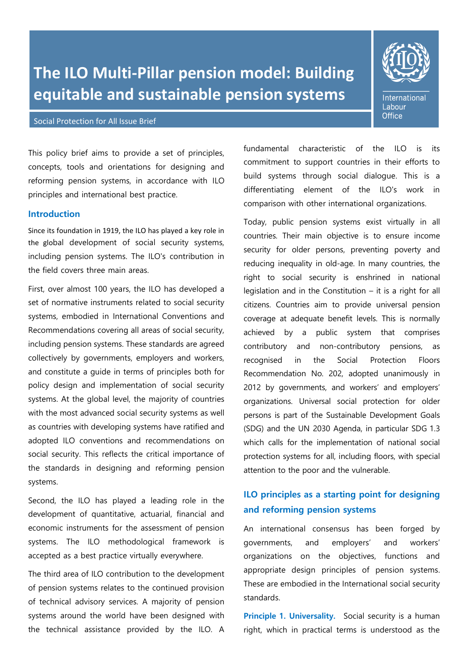# **The ILO Multi-Pillar pension model: Building equitable and sustainable pension systems**

#### Social Protection for All Issue Brief

**International** Labour **Office** 

This policy brief aims to provide a set of principles, concepts, tools and orientations for designing and reforming pension systems, in accordance with ILO principles and international best practice.

# **Introduction**

Since its foundation in 1919, the ILO has played a key role in the global development of social security systems, including pension systems. The ILO's contribution in the field covers three main areas.

First, over almost 100 years, the ILO has developed a set of normative instruments related to social security systems, embodied in International Conventions and Recommendations covering all areas of social security, including pension systems. These standards are agreed collectively by governments, employers and workers, and constitute a guide in terms of principles both for policy design and implementation of social security systems. At the global level, the majority of countries with the most advanced social security systems as well as countries with developing systems have ratified and adopted ILO conventions and recommendations on social security. This reflects the critical importance of the standards in designing and reforming pension systems.

Second, the ILO has played a leading role in the development of quantitative, actuarial, financial and economic instruments for the assessment of pension systems. The ILO methodological framework is accepted as a best practice virtually everywhere.

The third area of ILO contribution to the development of pension systems relates to the continued provision of technical advisory services. A majority of pension systems around the world have been designed with the technical assistance provided by the ILO. A

fundamental characteristic of the ILO is its commitment to support countries in their efforts to build systems through social dialogue. This is a differentiating element of the ILO's work in comparison with other international organizations.

Today, public pension systems exist virtually in all countries. Their main objective is to ensure income security for older persons, preventing poverty and reducing inequality in old-age. In many countries, the right to social security is enshrined in national legislation and in the Constitution – it is a right for all citizens. Countries aim to provide universal pension coverage at adequate benefit levels. This is normally achieved by a public system that comprises contributory and non-contributory pensions, as recognised in the Social Protection Floors Recommendation No. 202, adopted unanimously in 2012 by governments, and workers' and employers' organizations. Universal social protection for older persons is part of the Sustainable Development Goals (SDG) and the UN 2030 Agenda, in particular SDG 1.3 which calls for the implementation of national social protection systems for all, including floors, with special attention to the poor and the vulnerable.

# **ILO principles as a starting point for designing and reforming pension systems**

An international consensus has been forged by governments, and employers' and workers' organizations on the objectives, functions and appropriate design principles of pension systems. These are embodied in the International social security standards.

**Principle 1. Universality.** Social security is a human right, which in practical terms is understood as the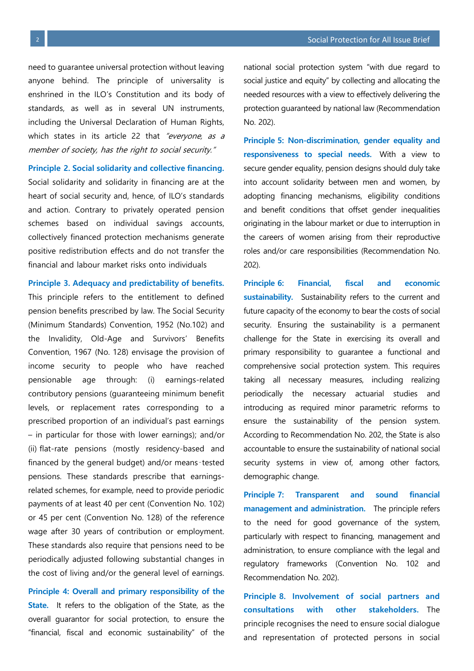need to guarantee universal protection without leaving anyone behind. The principle of universality is enshrined in the ILO's Constitution and its body of standards, as well as in several UN instruments, including the Universal Declaration of Human Rights, which states in its article 22 that "everyone, as a member of society, has the right to social security."

#### **Principle 2. Social solidarity and collective financing.**

Social solidarity and solidarity in financing are at the heart of social security and, hence, of ILO's standards and action. Contrary to privately operated pension schemes based on individual savings accounts, collectively financed protection mechanisms generate positive redistribution effects and do not transfer the financial and labour market risks onto individuals

**Principle 3. Adequacy and predictability of benefits.**

This principle refers to the entitlement to defined pension benefits prescribed by law. The Social Security (Minimum Standards) Convention, 1952 (No.102) and the Invalidity, Old-Age and Survivors' Benefits Convention, 1967 (No. 128) envisage the provision of income security to people who have reached pensionable age through: (i) earnings-related contributory pensions (guaranteeing minimum benefit levels, or replacement rates corresponding to a prescribed proportion of an individual's past earnings – in particular for those with lower earnings); and/or (ii) flat-rate pensions (mostly residency-based and financed by the general budget) and/or means‑tested pensions. These standards prescribe that earningsrelated schemes, for example, need to provide periodic payments of at least 40 per cent (Convention No. 102) or 45 per cent (Convention No. 128) of the reference wage after 30 years of contribution or employment. These standards also require that pensions need to be periodically adjusted following substantial changes in the cost of living and/or the general level of earnings.

**Principle 4: Overall and primary responsibility of the State.** It refers to the obligation of the State, as the overall guarantor for social protection, to ensure the "financial, fiscal and economic sustainability" of the

national social protection system "with due regard to social justice and equity" by collecting and allocating the needed resources with a view to effectively delivering the protection guaranteed by national law (Recommendation No. 202).

**Principle 5: Non-discrimination, gender equality and responsiveness to special needs.** With a view to secure gender equality, pension designs should duly take into account solidarity between men and women, by adopting financing mechanisms, eligibility conditions and benefit conditions that offset gender inequalities originating in the labour market or due to interruption in the careers of women arising from their reproductive roles and/or care responsibilities (Recommendation No. 202).

**Principle 6: Financial, fiscal and economic sustainability.** Sustainability refers to the current and future capacity of the economy to bear the costs of social security. Ensuring the sustainability is a permanent challenge for the State in exercising its overall and primary responsibility to guarantee a functional and comprehensive social protection system. This requires taking all necessary measures, including realizing periodically the necessary actuarial studies and introducing as required minor parametric reforms to ensure the sustainability of the pension system. According to Recommendation No. 202, the State is also accountable to ensure the sustainability of national social security systems in view of, among other factors, demographic change.

**Principle 7: Transparent and sound financial management and administration.** The principle refers to the need for good governance of the system, particularly with respect to financing, management and administration, to ensure compliance with the legal and regulatory frameworks (Convention No. 102 and Recommendation No. 202).

**Principle 8. Involvement of social partners and consultations with other stakeholders.** The principle recognises the need to ensure social dialogue and representation of protected persons in social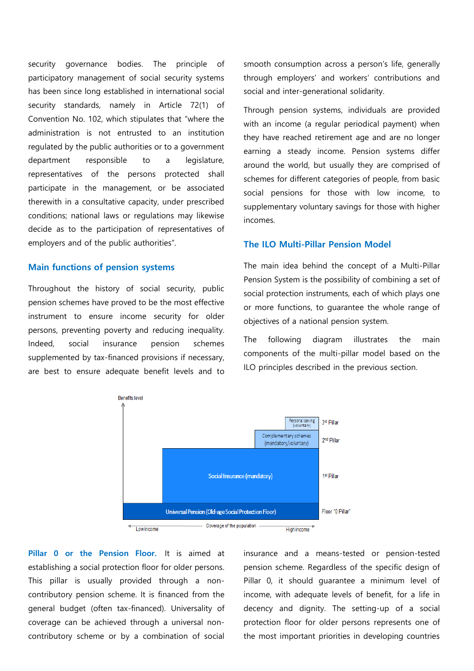security governance bodies. The principle of participatory management of social security systems has been since long established in international social security standards, namely in Article 72(1) of Convention No. 102, which stipulates that "where the administration is not entrusted to an institution regulated by the public authorities or to a government department responsible to a legislature, representatives of the persons protected shall participate in the management, or be associated therewith in a consultative capacity, under prescribed conditions; national laws or regulations may likewise decide as to the participation of representatives of employers and of the public authorities".

## **Main functions of pension systems**

Throughout the history of social security, public pension schemes have proved to be the most effective instrument to ensure income security for older persons, preventing poverty and reducing inequality. Indeed, social insurance pension schemes supplemented by tax-financed provisions if necessary, are best to ensure adequate benefit levels and to

smooth consumption across a person's life, generally through employers' and workers' contributions and social and inter-generational solidarity.

Through pension systems, individuals are provided with an income (a regular periodical payment) when they have reached retirement age and are no longer earning a steady income. Pension systems differ around the world, but usually they are comprised of schemes for different categories of people, from basic social pensions for those with low income, to supplementary voluntary savings for those with higher incomes.

### **The ILO Multi-Pillar Pension Model**

The main idea behind the concept of a Multi-Pillar Pension System is the possibility of combining a set of social protection instruments, each of which plays one or more functions, to guarantee the whole range of objectives of a national pension system.

The following diagram illustrates the main components of the multi-pillar model based on the ILO principles described in the previous section.



**Pillar 0 or the Pension Floor.** It is aimed at establishing a social protection floor for older persons. This pillar is usually provided through a noncontributory pension scheme. It is financed from the general budget (often tax-financed). Universality of coverage can be achieved through a universal noncontributory scheme or by a combination of social insurance and a means-tested or pension-tested pension scheme. Regardless of the specific design of Pillar 0, it should guarantee a minimum level of income, with adequate levels of benefit, for a life in decency and dignity. The setting-up of a social protection floor for older persons represents one of the most important priorities in developing countries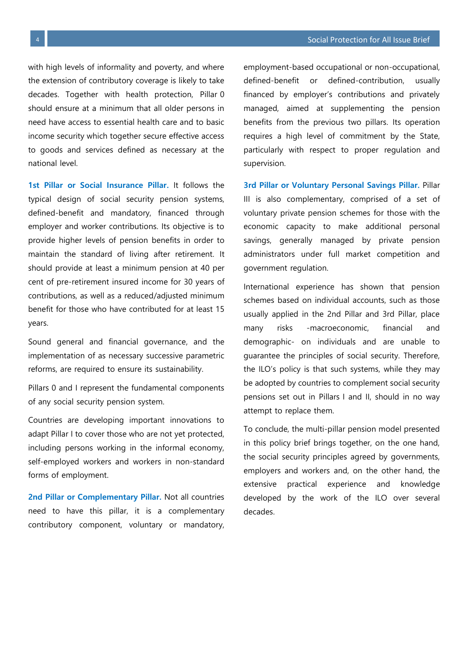with high levels of informality and poverty, and where the extension of contributory coverage is likely to take decades. Together with health protection, Pillar 0 should ensure at a minimum that all older persons in need have access to essential health care and to basic income security which together secure effective access to goods and services defined as necessary at the national level.

**1st Pillar or Social Insurance Pillar.** It follows the typical design of social security pension systems, defined-benefit and mandatory, financed through employer and worker contributions. Its objective is to provide higher levels of pension benefits in order to maintain the standard of living after retirement. It should provide at least a minimum pension at 40 per cent of pre-retirement insured income for 30 years of contributions, as well as a reduced/adjusted minimum benefit for those who have contributed for at least 15 years.

Sound general and financial governance, and the implementation of as necessary successive parametric reforms, are required to ensure its sustainability.

Pillars 0 and I represent the fundamental components of any social security pension system.

Countries are developing important innovations to adapt Pillar I to cover those who are not yet protected, including persons working in the informal economy, self-employed workers and workers in non-standard forms of employment.

**2nd Pillar or Complementary Pillar.** Not all countries need to have this pillar, it is a complementary contributory component, voluntary or mandatory,

employment-based occupational or non-occupational, defined-benefit or defined-contribution, usually financed by employer's contributions and privately managed, aimed at supplementing the pension benefits from the previous two pillars. Its operation requires a high level of commitment by the State, particularly with respect to proper regulation and supervision.

**3rd Pillar or Voluntary Personal Savings Pillar.** Pillar III is also complementary, comprised of a set of voluntary private pension schemes for those with the economic capacity to make additional personal savings, generally managed by private pension administrators under full market competition and government regulation.

International experience has shown that pension schemes based on individual accounts, such as those usually applied in the 2nd Pillar and 3rd Pillar, place many risks -macroeconomic, financial and demographic- on individuals and are unable to guarantee the principles of social security. Therefore, the ILO's policy is that such systems, while they may be adopted by countries to complement social security pensions set out in Pillars I and II, should in no way attempt to replace them.

To conclude, the multi-pillar pension model presented in this policy brief brings together, on the one hand, the social security principles agreed by governments, employers and workers and, on the other hand, the extensive practical experience and knowledge developed by the work of the ILO over several decades.